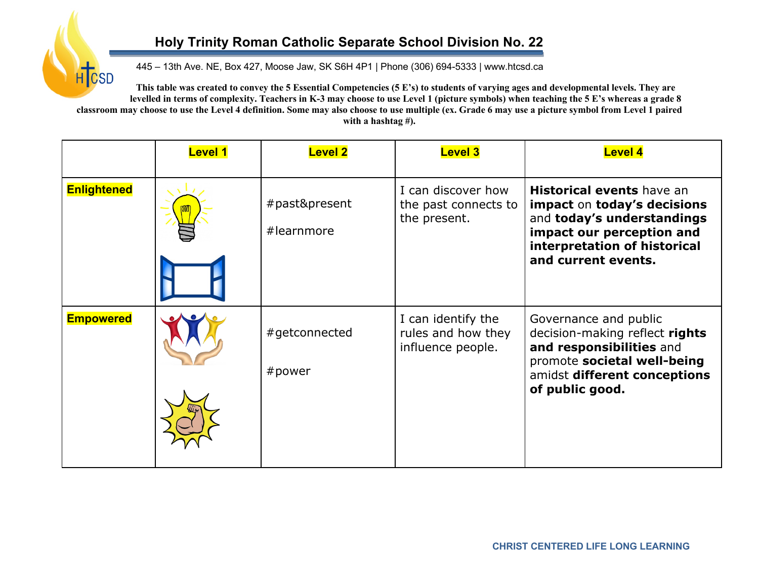## **Holy Trinity Roman Catholic Separate School Division No. 22**

445 – 13th Ave. NE, Box 427, Moose Jaw, SK S6H 4P1 | Phone (306) 694-5333 | www.htcsd.ca

**H**ICSD **This table was created to convey the 5 Essential Competencies (5 E's) to students of varying ages and developmental levels. They are levelled in terms of complexity. Teachers in K-3 may choose to use Level 1 (picture symbols) when teaching the 5 E's whereas a grade 8 classroom may choose to use the Level 4 definition. Some may also choose to use multiple (ex. Grade 6 may use a picture symbol from Level 1 paired with a hashtag #).**

|                    | <b>Level 1</b> | <b>Level 2</b>              | <b>Level 3</b>                                                | <b>Level 4</b>                                                                                                                                                                    |
|--------------------|----------------|-----------------------------|---------------------------------------------------------------|-----------------------------------------------------------------------------------------------------------------------------------------------------------------------------------|
| <b>Enlightened</b> |                | #past&present<br>#learnmore | I can discover how<br>the past connects to<br>the present.    | <b>Historical events</b> have an<br>impact on today's decisions<br>and today's understandings<br>impact our perception and<br>interpretation of historical<br>and current events. |
| <b>Empowered</b>   |                | #getconnected<br># power    | I can identify the<br>rules and how they<br>influence people. | Governance and public<br>decision-making reflect rights<br>and responsibilities and<br>promote societal well-being<br>amidst different conceptions<br>of public good.             |